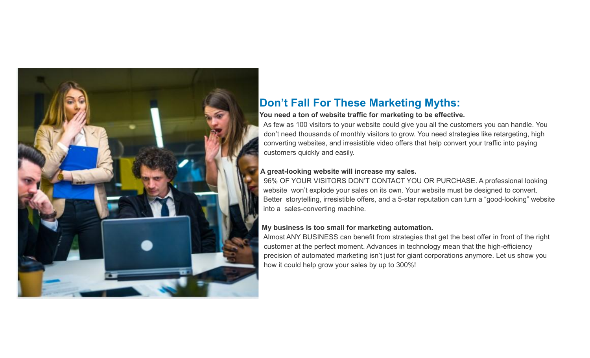

## **Don't Fall For These Marketing Myths:**

#### **You need a ton of website traffic for marketing to be effective.**

As few as 100 visitors to your website could give you all the customers you can handle. You don't need thousands of monthly visitors to grow. You need strategies like retargeting, high converting websites, and irresistible video offers that help convert your traffic into paying customers quickly and easily.

#### **A great-looking website will increase my sales.**

96% OF YOUR VISITORS DON'T CONTACT YOU OR PURCHASE. A professional looking website won't explode your sales on its own. Your website must be designed to convert. Better storytelling, irresistible offers, and a 5-star reputation can turn a "good-looking" website into a sales-converting machine.

### **My business is too small for marketing automation.**

Almost ANY BUSINESS can benefit from strategies that get the best offer in front of the right customer at the perfect moment. Advances in technology mean that the high-efficiency precision of automated marketing isn't just for giant corporations anymore. Let us show you how it could help grow your sales by up to 300%!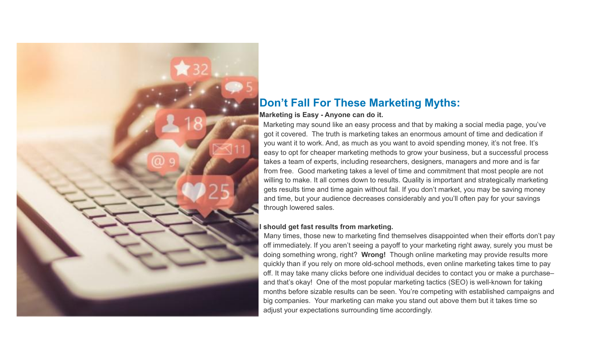

## **Don't Fall For These Marketing Myths:**

#### **Marketing is Easy - Anyone can do it.**

Marketing may sound like an easy process and that by making a social media page, you've got it covered. The truth is marketing takes an enormous amount of time and dedication if you want it to work. And, as much as you want to avoid spending money, it's not free. It's easy to opt for cheaper marketing methods to grow your business, but a successful process takes a team of experts, including researchers, designers, managers and more and is far from free. Good marketing takes a level of time and commitment that most people are not willing to make. It all comes down to results. Quality is important and strategically marketing gets results time and time again without fail. If you don't market, you may be saving money and time, but your audience decreases considerably and you'll often pay for your savings through lowered sales.

#### **I should get fast results from marketing.**

Many times, those new to marketing find themselves disappointed when their efforts don't pay off immediately. If you aren't seeing a payoff to your marketing right away, surely you must be doing something wrong, right? **Wrong!** Though online marketing may provide results more quickly than if you rely on more old-school methods, even online marketing takes time to pay off. It may take many clicks before one individual decides to contact you or make a purchase– and that's okay! One of the most popular marketing tactics (SEO) is well-known for taking months before sizable results can be seen. You're competing with established campaigns and big companies. Your marketing can make you stand out above them but it takes time so adjust your expectations surrounding time accordingly.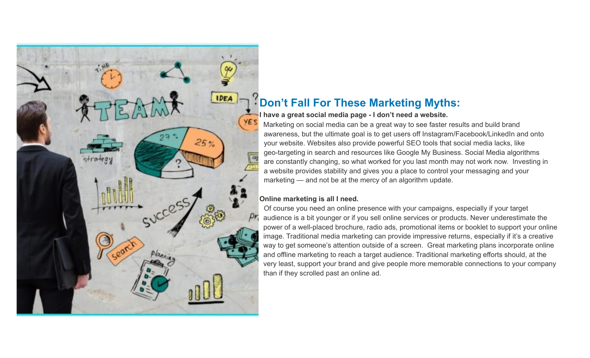

# **Don't Fall For These Marketing Myths:**

## **I have a great social media page - I don't need a website.**

Marketing on social media can be a great way to see faster results and build brand awareness, but the ultimate goal is to get users off Instagram/Facebook/LinkedIn and onto your website. Websites also provide powerful SEO tools that social media lacks, like geo-targeting in search and resources like Google My Business. Social Media algorithms are constantly changing, so what worked for you last month may not work now. Investing in a website provides stability and gives you a place to control your messaging and your marketing — and not be at the mercy of an algorithm update.

## **Online marketing is all I need.**

Of course you need an online presence with your campaigns, especially if your target audience is a bit younger or if you sell online services or products. Never underestimate the power of a well-placed brochure, radio ads, promotional items or booklet to support your online image. Traditional media marketing can provide impressive returns, especially if it's a creative way to get someone's attention outside of a screen. Great marketing plans incorporate online and offline marketing to reach a target audience. Traditional marketing efforts should, at the very least, support your brand and give people more memorable connections to your company than if they scrolled past an online ad.